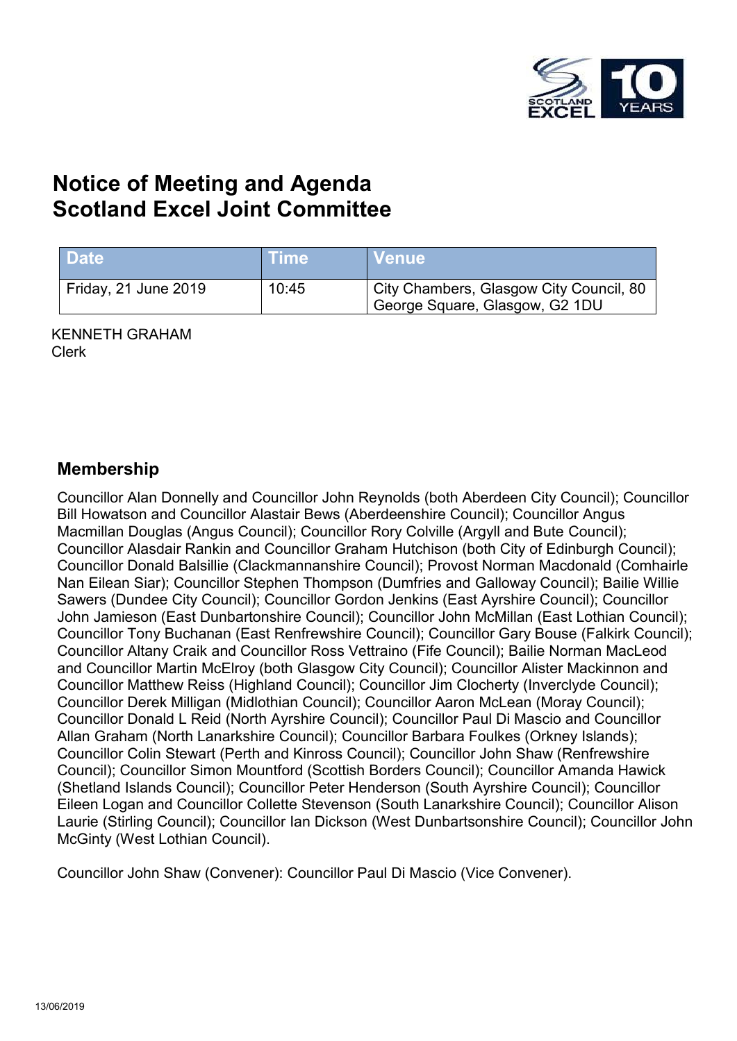

# **Notice of Meeting and Agenda Scotland Excel Joint Committee**

| <b>Date</b>          | <b>Time</b> \ | <b>Venue</b>                                                              |
|----------------------|---------------|---------------------------------------------------------------------------|
| Friday, 21 June 2019 | 10:45         | City Chambers, Glasgow City Council, 80<br>George Square, Glasgow, G2 1DU |

KENNETH GRAHAM Clerk

### **Membership**

Councillor Alan Donnelly and Councillor John Reynolds (both Aberdeen City Council); Councillor Bill Howatson and Councillor Alastair Bews (Aberdeenshire Council); Councillor Angus Macmillan Douglas (Angus Council); Councillor Rory Colville (Argyll and Bute Council); Councillor Alasdair Rankin and Councillor Graham Hutchison (both City of Edinburgh Council); Councillor Donald Balsillie (Clackmannanshire Council); Provost Norman Macdonald (Comhairle Nan Eilean Siar); Councillor Stephen Thompson (Dumfries and Galloway Council); Bailie Willie Sawers (Dundee City Council); Councillor Gordon Jenkins (East Ayrshire Council); Councillor John Jamieson (East Dunbartonshire Council); Councillor John McMillan (East Lothian Council); Councillor Tony Buchanan (East Renfrewshire Council); Councillor Gary Bouse (Falkirk Council); Councillor Altany Craik and Councillor Ross Vettraino (Fife Council); Bailie Norman MacLeod and Councillor Martin McElroy (both Glasgow City Council); Councillor Alister Mackinnon and Councillor Matthew Reiss (Highland Council); Councillor Jim Clocherty (Inverclyde Council); Councillor Derek Milligan (Midlothian Council); Councillor Aaron McLean (Moray Council); Councillor Donald L Reid (North Ayrshire Council); Councillor Paul Di Mascio and Councillor Allan Graham (North Lanarkshire Council); Councillor Barbara Foulkes (Orkney Islands); Councillor Colin Stewart (Perth and Kinross Council); Councillor John Shaw (Renfrewshire Council); Councillor Simon Mountford (Scottish Borders Council); Councillor Amanda Hawick (Shetland Islands Council); Councillor Peter Henderson (South Ayrshire Council); Councillor Eileen Logan and Councillor Collette Stevenson (South Lanarkshire Council); Councillor Alison Laurie (Stirling Council); Councillor Ian Dickson (West Dunbartsonshire Council); Councillor John McGinty (West Lothian Council).

Councillor John Shaw (Convener): Councillor Paul Di Mascio (Vice Convener).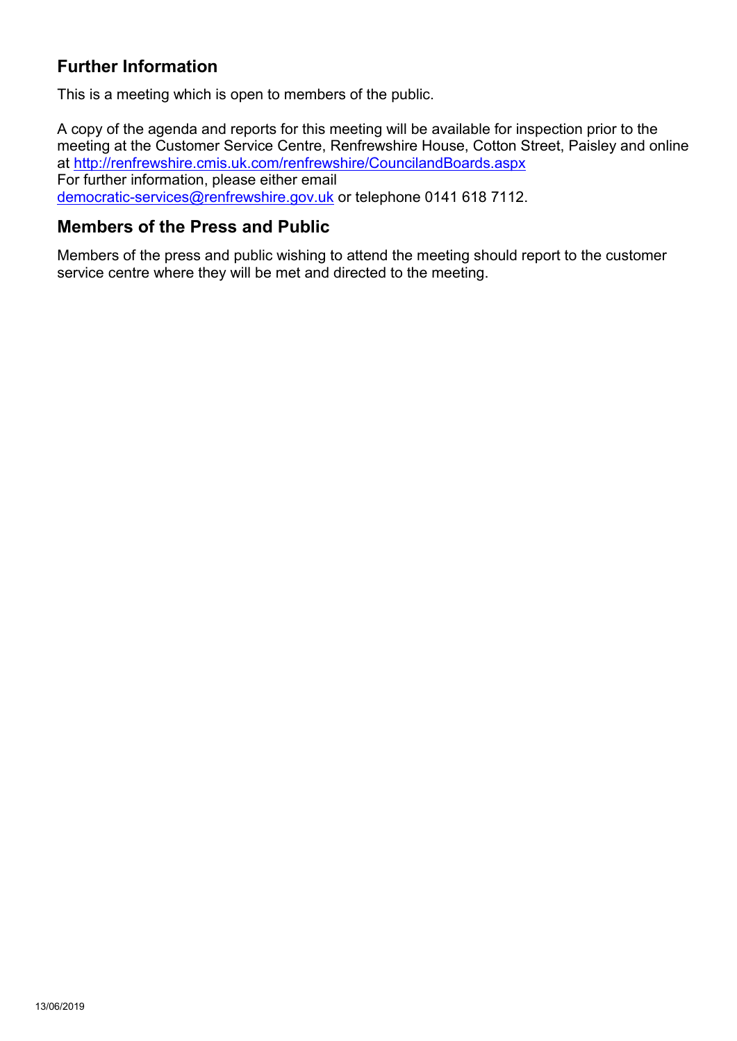### **Further Information**

This is a meeting which is open to members of the public.

A copy of the agenda and reports for this meeting will be available for inspection prior to the meeting at the Customer Service Centre, Renfrewshire House, Cotton Street, Paisley and online at <http://renfrewshire.cmis.uk.com/renfrewshire/CouncilandBoards.aspx> For further information, please either email [democratic-services@renfrewshire.gov.uk](mailto:democratic-services@renfrewshire.gov.uk) or telephone 0141 618 7112.

### **Members of the Press and Public**

Members of the press and public wishing to attend the meeting should report to the customer service centre where they will be met and directed to the meeting.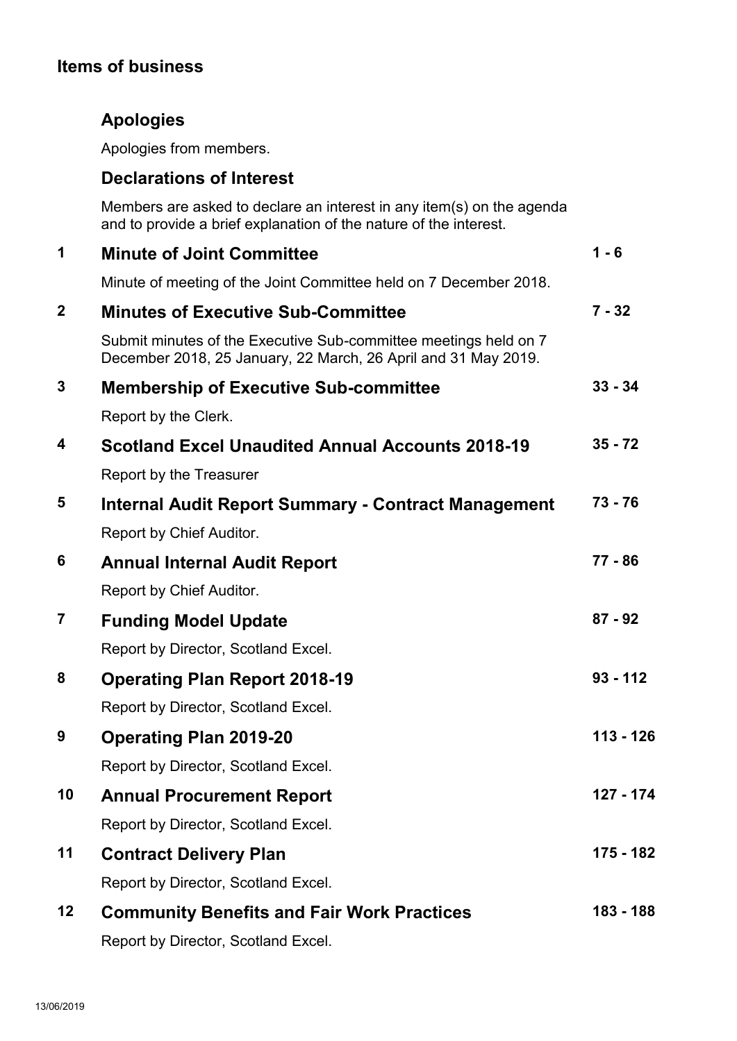## **Items of business**

## **Apologies**

Apologies from members.

### **Declarations of Interest**

Members are asked to declare an interest in any item(s) on the agenda and to provide a brief explanation of the nature of the interest.

| 1                | <b>Minute of Joint Committee</b>                                                                                                   | $1 - 6$     |
|------------------|------------------------------------------------------------------------------------------------------------------------------------|-------------|
|                  | Minute of meeting of the Joint Committee held on 7 December 2018.                                                                  |             |
| $\boldsymbol{2}$ | <b>Minutes of Executive Sub-Committee</b>                                                                                          | $7 - 32$    |
|                  | Submit minutes of the Executive Sub-committee meetings held on 7<br>December 2018, 25 January, 22 March, 26 April and 31 May 2019. |             |
| 3                | <b>Membership of Executive Sub-committee</b>                                                                                       | $33 - 34$   |
|                  | Report by the Clerk.                                                                                                               |             |
| 4                | <b>Scotland Excel Unaudited Annual Accounts 2018-19</b>                                                                            | $35 - 72$   |
|                  | Report by the Treasurer                                                                                                            |             |
| 5                | <b>Internal Audit Report Summary - Contract Management</b>                                                                         | $73 - 76$   |
|                  | Report by Chief Auditor.                                                                                                           |             |
| 6                | <b>Annual Internal Audit Report</b>                                                                                                | 77 - 86     |
|                  | Report by Chief Auditor.                                                                                                           |             |
| $\overline{7}$   | <b>Funding Model Update</b>                                                                                                        | $87 - 92$   |
|                  | Report by Director, Scotland Excel.                                                                                                |             |
| 8                | <b>Operating Plan Report 2018-19</b>                                                                                               | $93 - 112$  |
|                  | Report by Director, Scotland Excel.                                                                                                |             |
| 9                | <b>Operating Plan 2019-20</b>                                                                                                      | $113 - 126$ |
|                  | Report by Director, Scotland Excel.                                                                                                |             |
| 10               | <b>Annual Procurement Report</b>                                                                                                   | 127 - 174   |
|                  | Report by Director, Scotland Excel.                                                                                                |             |
| 11               | <b>Contract Delivery Plan</b>                                                                                                      | 175 - 182   |
|                  | Report by Director, Scotland Excel.                                                                                                |             |
| 12               | <b>Community Benefits and Fair Work Practices</b>                                                                                  | 183 - 188   |
|                  | Report by Director, Scotland Excel.                                                                                                |             |